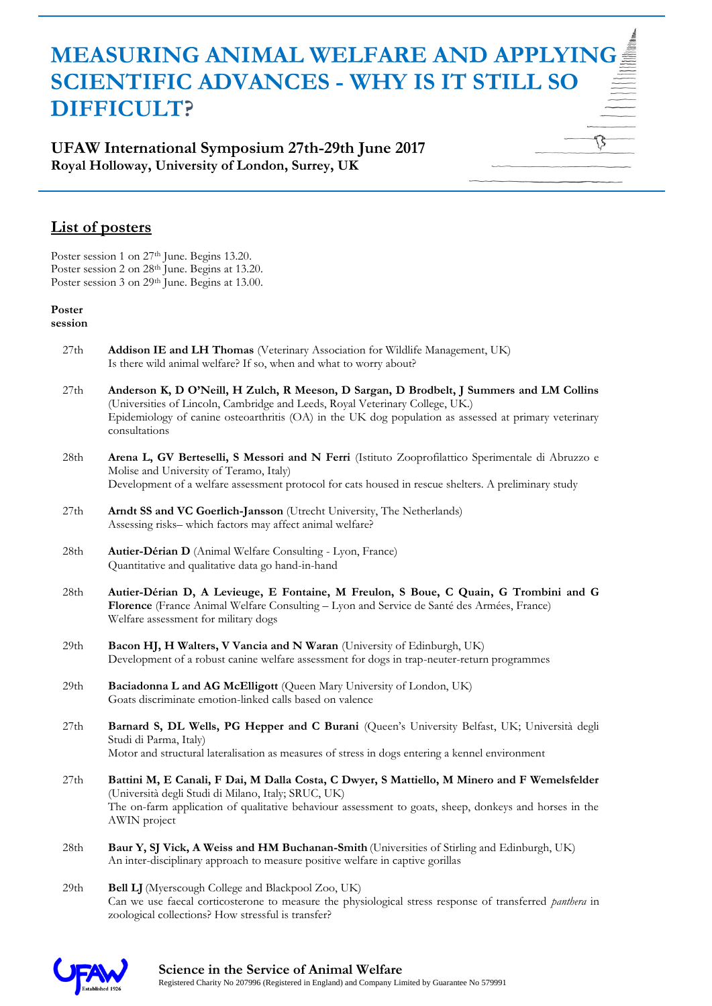**UFAW International Symposium 27th-29th June 2017 Royal Holloway, University of London, Surrey, UK**

### **List of posters**

Poster session 1 on 27<sup>th</sup> June. Begins 13.20. Poster session 2 on 28<sup>th</sup> June. Begins at 13.20. Poster session 3 on 29<sup>th</sup> June. Begins at 13.00.

#### **Poster**

**session**

- 27th **Addison IE and LH Thomas** (Veterinary Association for Wildlife Management, UK) Is there wild animal welfare? If so, when and what to worry about?
- 27th **Anderson K, D O'Neill, H Zulch, R Meeson, D Sargan, D Brodbelt, J Summers and LM Collins**  (Universities of Lincoln, Cambridge and Leeds, Royal Veterinary College, UK.) Epidemiology of canine osteoarthritis (OA) in the UK dog population as assessed at primary veterinary consultations
- 28th **Arena L, GV Berteselli, S Messori and N Ferri** (Istituto Zooprofilattico Sperimentale di Abruzzo e Molise and University of Teramo, Italy) Development of a welfare assessment protocol for cats housed in rescue shelters. A preliminary study
- 27th **Arndt SS and VC Goerlich-Jansson** (Utrecht University, The Netherlands) Assessing risks– which factors may affect animal welfare?
- 28th **Autier-Dérian D** (Animal Welfare Consulting Lyon, France) Quantitative and qualitative data go hand-in-hand
- 28th **Autier-Dérian D, A Levieuge, E Fontaine, M Freulon, S Boue, C Quain, G Trombini and G Florence** (France Animal Welfare Consulting – Lyon and Service de Santé des Armées, France) Welfare assessment for military dogs
- 29th **Bacon HJ, H Walters, V Vancia and N Waran** (University of Edinburgh, UK) Development of a robust canine welfare assessment for dogs in trap-neuter-return programmes
- 29th **Baciadonna L and AG McElligott** (Queen Mary University of London, UK) Goats discriminate emotion-linked calls based on valence
- 27th **Barnard S, DL Wells, PG Hepper and C Burani** (Queen's University Belfast, UK; Università degli Studi di Parma, Italy) Motor and structural lateralisation as measures of stress in dogs entering a kennel environment
- 27th **Battini M, E Canali, F Dai, M Dalla Costa, C Dwyer, S Mattiello, M Minero and F Wemelsfelder**  (Università degli Studi di Milano, Italy; SRUC, UK) The on-farm application of qualitative behaviour assessment to goats, sheep, donkeys and horses in the AWIN project
- 28th **Baur Y, SJ Vick, A Weiss and HM Buchanan-Smith** (Universities of Stirling and Edinburgh, UK) An inter-disciplinary approach to measure positive welfare in captive gorillas
- 29th **Bell LJ**(Myerscough College and Blackpool Zoo, UK) Can we use faecal corticosterone to measure the physiological stress response of transferred *panthera* in zoological collections? How stressful is transfer?

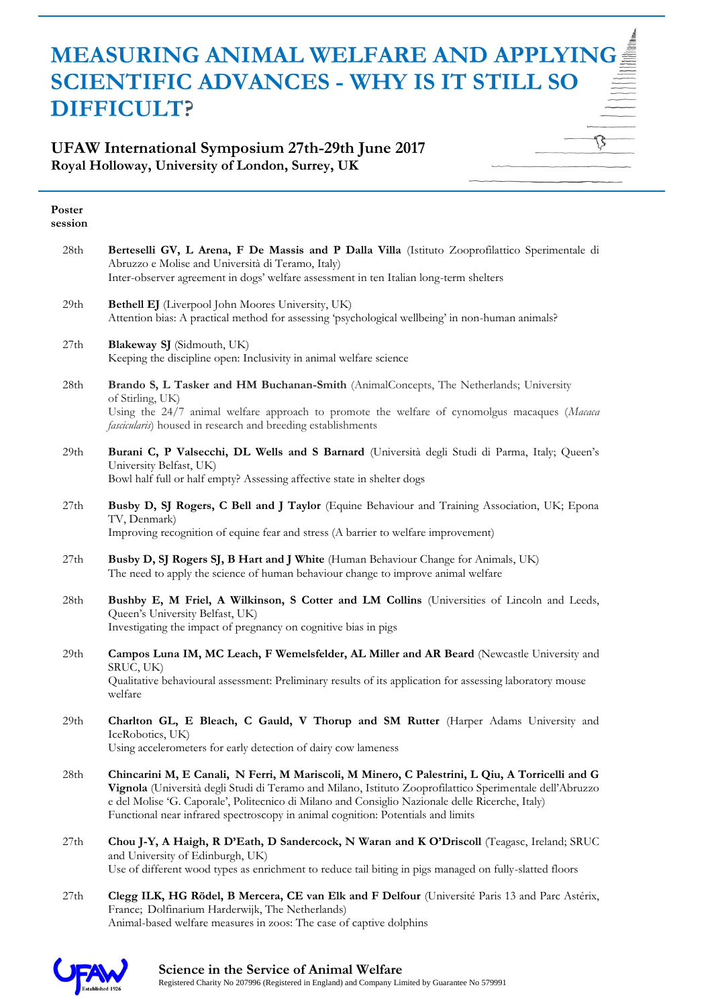### **UFAW International Symposium 27th-29th June 2017 Royal Holloway, University of London, Surrey, UK**

| Poster<br>session |                                                                                                                                                                                                                                                                                                                                                                                                     |
|-------------------|-----------------------------------------------------------------------------------------------------------------------------------------------------------------------------------------------------------------------------------------------------------------------------------------------------------------------------------------------------------------------------------------------------|
| 28th              | Berteselli GV, L Arena, F De Massis and P Dalla Villa (Istituto Zooprofilattico Sperimentale di<br>Abruzzo e Molise and Università di Teramo, Italy)<br>Inter-observer agreement in dogs' welfare assessment in ten Italian long-term shelters                                                                                                                                                      |
| 29th              | Bethell EJ (Liverpool John Moores University, UK)<br>Attention bias: A practical method for assessing 'psychological wellbeing' in non-human animals?                                                                                                                                                                                                                                               |
| 27th              | Blakeway SJ (Sidmouth, UK)<br>Keeping the discipline open: Inclusivity in animal welfare science                                                                                                                                                                                                                                                                                                    |
| 28th              | Brando S, L Tasker and HM Buchanan-Smith (AnimalConcepts, The Netherlands; University<br>of Stirling, UK)<br>Using the 24/7 animal welfare approach to promote the welfare of cynomolgus macaques (Macaca<br><i>fascicularis</i> ) housed in research and breeding establishments                                                                                                                   |
| 29th              | Burani C, P Valsecchi, DL Wells and S Barnard (Università degli Studi di Parma, Italy; Queen's<br>University Belfast, UK)<br>Bowl half full or half empty? Assessing affective state in shelter dogs                                                                                                                                                                                                |
| 27th              | Busby D, SJ Rogers, C Bell and J Taylor (Equine Behaviour and Training Association, UK; Epona<br>TV, Denmark)<br>Improving recognition of equine fear and stress (A barrier to welfare improvement)                                                                                                                                                                                                 |
| 27th              | Busby D, SJ Rogers SJ, B Hart and J White (Human Behaviour Change for Animals, UK)<br>The need to apply the science of human behaviour change to improve animal welfare                                                                                                                                                                                                                             |
| 28th              | Bushby E, M Friel, A Wilkinson, S Cotter and LM Collins (Universities of Lincoln and Leeds,<br>Queen's University Belfast, UK)<br>Investigating the impact of pregnancy on cognitive bias in pigs                                                                                                                                                                                                   |
| 29th              | Campos Luna IM, MC Leach, F Wemelsfelder, AL Miller and AR Beard (Newcastle University and<br>SRUC, UK)<br>Qualitative behavioural assessment: Preliminary results of its application for assessing laboratory mouse<br>welfare                                                                                                                                                                     |
| 29th              | Charlton GL, E Bleach, C Gauld, V Thorup and SM Rutter (Harper Adams University and<br>IceRobotics, UK)<br>Using accelerometers for early detection of dairy cow lameness                                                                                                                                                                                                                           |
| 28th              | Chincarini M, E Canali, N Ferri, M Mariscoli, M Minero, C Palestrini, L Qiu, A Torricelli and G<br>Vignola (Università degli Studi di Teramo and Milano, Istituto Zooprofilattico Sperimentale dell'Abruzzo<br>e del Molise 'G. Caporale', Politecnico di Milano and Consiglio Nazionale delle Ricerche, Italy)<br>Functional near infrared spectroscopy in animal cognition: Potentials and limits |
| 27th              | Chou J-Y, A Haigh, R D'Eath, D Sandercock, N Waran and K O'Driscoll (Teagasc, Ireland; SRUC<br>and University of Edinburgh, UK)<br>Use of different wood types as enrichment to reduce tail biting in pigs managed on fully-slatted floors                                                                                                                                                          |
| 27th              | Clegg ILK, HG Rödel, B Mercera, CE van Elk and F Delfour (Université Paris 13 and Parc Astérix,<br>France; Dolfinarium Harderwijk, The Netherlands)<br>Animal-based welfare measures in zoos: The case of captive dolphins                                                                                                                                                                          |

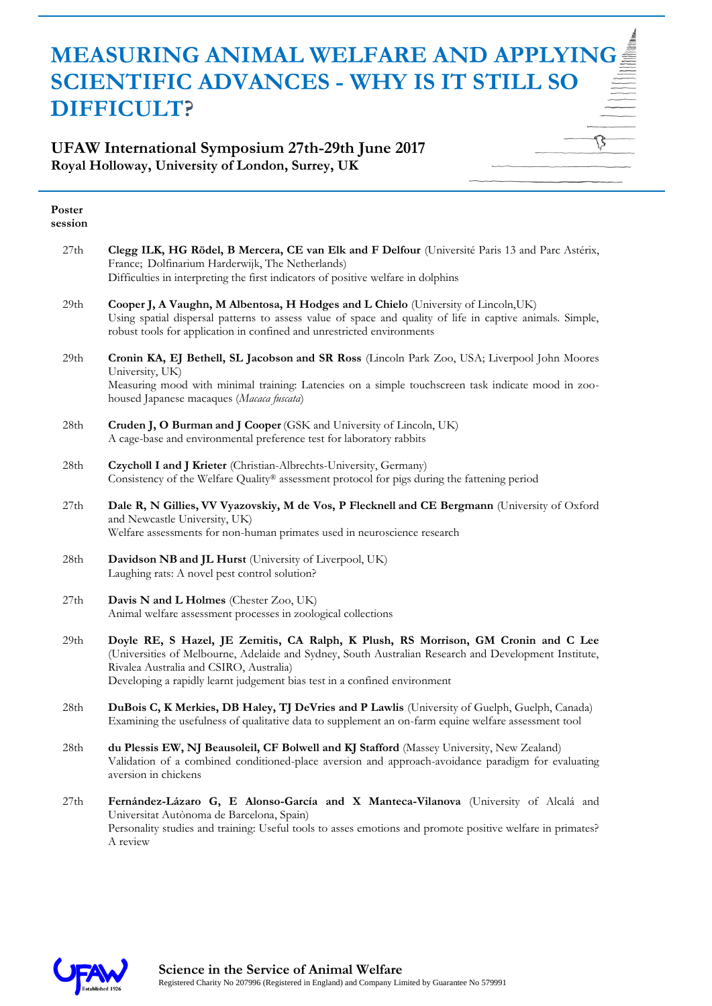#### **UFAW International Symposium 27th-29th June 2017 Royal Holloway, University of London, Surrey, UK**

| Poster<br>session |                                                                                                                                                                                                                                                                                                                     |
|-------------------|---------------------------------------------------------------------------------------------------------------------------------------------------------------------------------------------------------------------------------------------------------------------------------------------------------------------|
| 27th              | Clegg ILK, HG Rödel, B Mercera, CE van Elk and F Delfour (Université Paris 13 and Parc Astérix,<br>France; Dolfinarium Harderwijk, The Netherlands)<br>Difficulties in interpreting the first indicators of positive welfare in dolphins                                                                            |
| 29 <sub>th</sub>  | Cooper J, A Vaughn, M Albentosa, H Hodges and L Chielo (University of Lincoln, UK)<br>Using spatial dispersal patterns to assess value of space and quality of life in captive animals. Simple,<br>robust tools for application in confined and unrestricted environments                                           |
| 29th              | Cronin KA, EJ Bethell, SL Jacobson and SR Ross (Lincoln Park Zoo, USA; Liverpool John Moores<br>University, UK)<br>Measuring mood with minimal training: Latencies on a simple touchscreen task indicate mood in zoo-<br>housed Japanese macaques (Macaca fuscata)                                                  |
| 28th              | Cruden J, O Burman and J Cooper (GSK and University of Lincoln, UK)<br>A cage-base and environmental preference test for laboratory rabbits                                                                                                                                                                         |
| 28th              | Czycholl I and J Krieter (Christian-Albrechts-University, Germany)<br>Consistency of the Welfare Quality® assessment protocol for pigs during the fattening period                                                                                                                                                  |
| $27th\,$          | Dale R, N Gillies, VV Vyazovskiy, M de Vos, P Flecknell and CE Bergmann (University of Oxford<br>and Newcastle University, UK)<br>Welfare assessments for non-human primates used in neuroscience research                                                                                                          |
| 28th              | Davidson NB and JL Hurst (University of Liverpool, UK)<br>Laughing rats: A novel pest control solution?                                                                                                                                                                                                             |
| 27th              | Davis N and L Holmes (Chester Zoo, UK)<br>Animal welfare assessment processes in zoological collections                                                                                                                                                                                                             |
| 29th              | Doyle RE, S Hazel, JE Zemitis, CA Ralph, K Plush, RS Morrison, GM Cronin and C Lee<br>(Universities of Melbourne, Adelaide and Sydney, South Australian Research and Development Institute,<br>Rivalea Australia and CSIRO, Australia)<br>Developing a rapidly learnt judgement bias test in a confined environment |
| $28{\rm th}$      | DuBois C, K Merkies, DB Haley, TJ DeVries and P Lawlis (University of Guelph, Guelph, Canada)<br>Examining the usefulness of qualitative data to supplement an on-farm equine welfare assessment tool                                                                                                               |
| 28th              | du Plessis EW, NJ Beausoleil, CF Bolwell and KJ Stafford (Massey University, New Zealand)<br>Validation of a combined conditioned-place aversion and approach-avoidance paradigm for evaluating<br>aversion in chickens                                                                                             |
| 27th              | Fernández-Lázaro G, E Alonso-García and X Manteca-Vilanova (University of Alcalá and<br>Universitat Autònoma de Barcelona, Spain)                                                                                                                                                                                   |

Personality studies and training: Useful tools to asses emotions and promote positive welfare in primates? A review

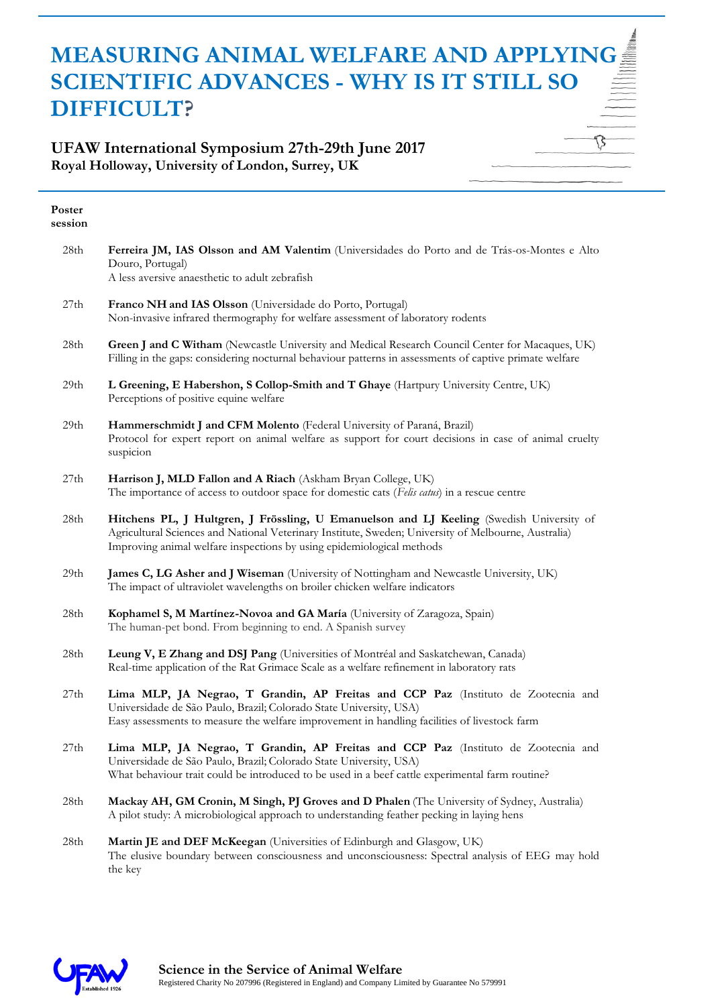### **UFAW International Symposium 27th-29th June 2017 Royal Holloway, University of London, Surrey, UK**

| Poster<br>session |                                                                                                                                                                                                                                                                           |
|-------------------|---------------------------------------------------------------------------------------------------------------------------------------------------------------------------------------------------------------------------------------------------------------------------|
| 28th              | Ferreira JM, IAS Olsson and AM Valentim (Universidades do Porto and de Trás-os-Montes e Alto<br>Douro, Portugal)<br>A less aversive anaesthetic to adult zebrafish                                                                                                        |
| 27th              | Franco NH and IAS Olsson (Universidade do Porto, Portugal)<br>Non-invasive infrared thermography for welfare assessment of laboratory rodents                                                                                                                             |
| 28th              | Green J and C Witham (Newcastle University and Medical Research Council Center for Macaques, UK)<br>Filling in the gaps: considering nocturnal behaviour patterns in assessments of captive primate welfare                                                               |
| 29th              | L Greening, E Habershon, S Collop-Smith and T Ghaye (Hartpury University Centre, UK)<br>Perceptions of positive equine welfare                                                                                                                                            |
| 29th              | Hammerschmidt J and CFM Molento (Federal University of Paraná, Brazil)<br>Protocol for expert report on animal welfare as support for court decisions in case of animal cruelty<br>suspicion                                                                              |
| 27th              | Harrison J, MLD Fallon and A Riach (Askham Bryan College, UK)<br>The importance of access to outdoor space for domestic cats (Felis catus) in a rescue centre                                                                                                             |
| 28th              | Hitchens PL, J Hultgren, J Frössling, U Emanuelson and LJ Keeling (Swedish University of<br>Agricultural Sciences and National Veterinary Institute, Sweden; University of Melbourne, Australia)<br>Improving animal welfare inspections by using epidemiological methods |
| 29th              | James C, LG Asher and J Wiseman (University of Nottingham and Newcastle University, UK)<br>The impact of ultraviolet wavelengths on broiler chicken welfare indicators                                                                                                    |
| 28th              | Kophamel S, M Martínez-Novoa and GA María (University of Zaragoza, Spain)<br>The human-pet bond. From beginning to end. A Spanish survey                                                                                                                                  |
| 28th              | Leung V, E Zhang and DSJ Pang (Universities of Montréal and Saskatchewan, Canada)<br>Real-time application of the Rat Grimace Scale as a welfare refinement in laboratory rats                                                                                            |
| 27th              | Lima MLP, JA Negrao, T Grandin, AP Freitas and CCP Paz (Instituto de Zootecnia and<br>Universidade de São Paulo, Brazil; Colorado State University, USA)<br>Easy assessments to measure the welfare improvement in handling facilities of livestock farm                  |
| 27th              | Lima MLP, JA Negrao, T Grandin, AP Freitas and CCP Paz (Instituto de Zootecnia and<br>Universidade de São Paulo, Brazil; Colorado State University, USA)<br>What behaviour trait could be introduced to be used in a beef cattle experimental farm routine?               |
| 28th              | Mackay AH, GM Cronin, M Singh, PJ Groves and D Phalen (The University of Sydney, Australia)<br>A pilot study: A microbiological approach to understanding feather pecking in laying hens                                                                                  |
|                   |                                                                                                                                                                                                                                                                           |

28th **Martin JE and DEF McKeegan** (Universities of Edinburgh and Glasgow, UK) The elusive boundary between consciousness and unconsciousness: Spectral analysis of EEG may hold the key

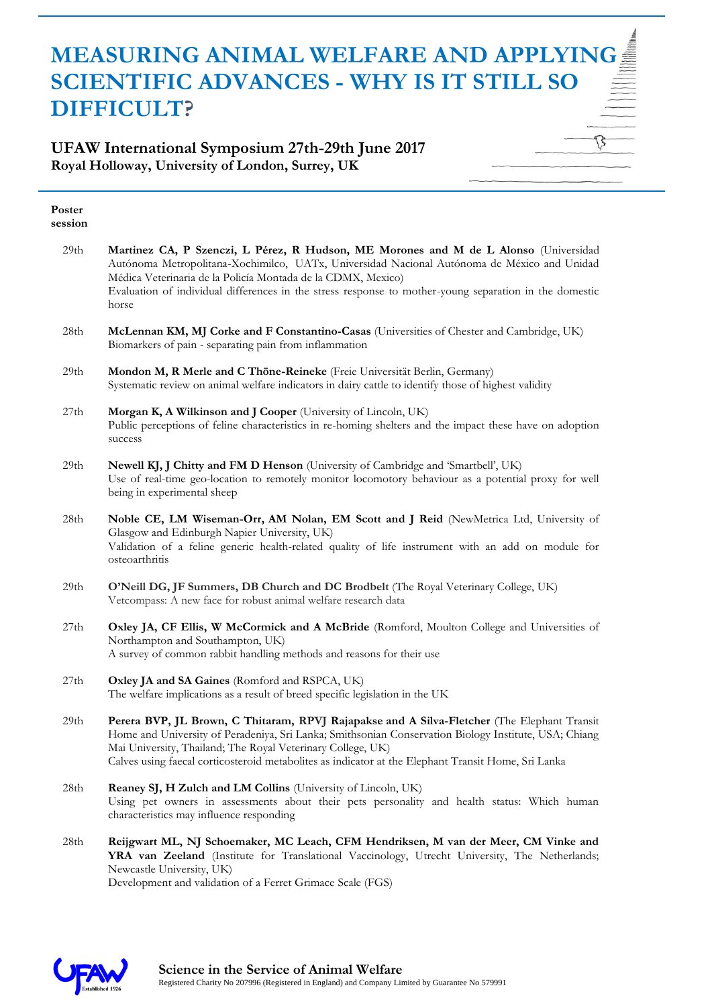#### **UFAW International Symposium 27th-29th June 2017 Royal Holloway, University of London, Surrey, UK**

| Poster<br>session |                                                                                                                                                                                                                                                                                                                                                                            |
|-------------------|----------------------------------------------------------------------------------------------------------------------------------------------------------------------------------------------------------------------------------------------------------------------------------------------------------------------------------------------------------------------------|
| 29th              | Martinez CA, P Szenczi, L Pérez, R Hudson, ME Morones and M de L Alonso (Universidad<br>Autónoma Metropolitana-Xochimilco, UATx, Universidad Nacional Autónoma de México and Unidad<br>Médica Veterinaria de la Policía Montada de la CDMX, Mexico)<br>Evaluation of individual differences in the stress response to mother-young separation in the domestic<br>horse     |
| 28th              | McLennan KM, MJ Corke and F Constantino-Casas (Universities of Chester and Cambridge, UK)<br>Biomarkers of pain - separating pain from inflammation                                                                                                                                                                                                                        |
| 29th              | Mondon M, R Merle and C Thöne-Reineke (Freie Universität Berlin, Germany)<br>Systematic review on animal welfare indicators in dairy cattle to identify those of highest validity                                                                                                                                                                                          |
| 27th              | Morgan K, A Wilkinson and J Cooper (University of Lincoln, UK)<br>Public perceptions of feline characteristics in re-homing shelters and the impact these have on adoption<br>success                                                                                                                                                                                      |
| 29th              | Newell KJ, J Chitty and FM D Henson (University of Cambridge and 'Smartbell', UK)<br>Use of real-time geo-location to remotely monitor locomotory behaviour as a potential proxy for well<br>being in experimental sheep                                                                                                                                                   |
| 28th              | Noble CE, LM Wiseman-Orr, AM Nolan, EM Scott and J Reid (NewMetrica Ltd, University of<br>Glasgow and Edinburgh Napier University, UK)<br>Validation of a feline generic health-related quality of life instrument with an add on module for<br>osteoarthritis                                                                                                             |
| 29th              | O'Neill DG, JF Summers, DB Church and DC Brodbelt (The Royal Veterinary College, UK)<br>Vetcompass: A new face for robust animal welfare research data                                                                                                                                                                                                                     |
| 27th              | Oxley JA, CF Ellis, W McCormick and A McBride (Romford, Moulton College and Universities of<br>Northampton and Southampton, UK)<br>A survey of common rabbit handling methods and reasons for their use                                                                                                                                                                    |
| 27th              | Oxley JA and SA Gaines (Romford and RSPCA, UK)<br>The welfare implications as a result of breed specific legislation in the UK                                                                                                                                                                                                                                             |
| 29th              | Perera BVP, JL Brown, C Thitaram, RPVJ Rajapakse and A Silva-Fletcher (The Elephant Transit<br>Home and University of Peradeniya, Sri Lanka; Smithsonian Conservation Biology Institute, USA; Chiang<br>Mai University, Thailand; The Royal Veterinary College, UK)<br>Calves using faecal corticosteroid metabolites as indicator at the Elephant Transit Home, Sri Lanka |
| 28th              | Reaney SJ, H Zulch and LM Collins (University of Lincoln, UK)<br>Using pet owners in assessments about their pets personality and health status: Which human<br>characteristics may influence responding                                                                                                                                                                   |
| 28th              | Reijgwart ML, NJ Schoemaker, MC Leach, CFM Hendriksen, M van der Meer, CM Vinke and<br>YRA van Zeeland (Institute for Translational Vaccinology, Utrecht University, The Netherlands;<br>Newcastle University, UK)                                                                                                                                                         |

Development and validation of a Ferret Grimace Scale (FGS)

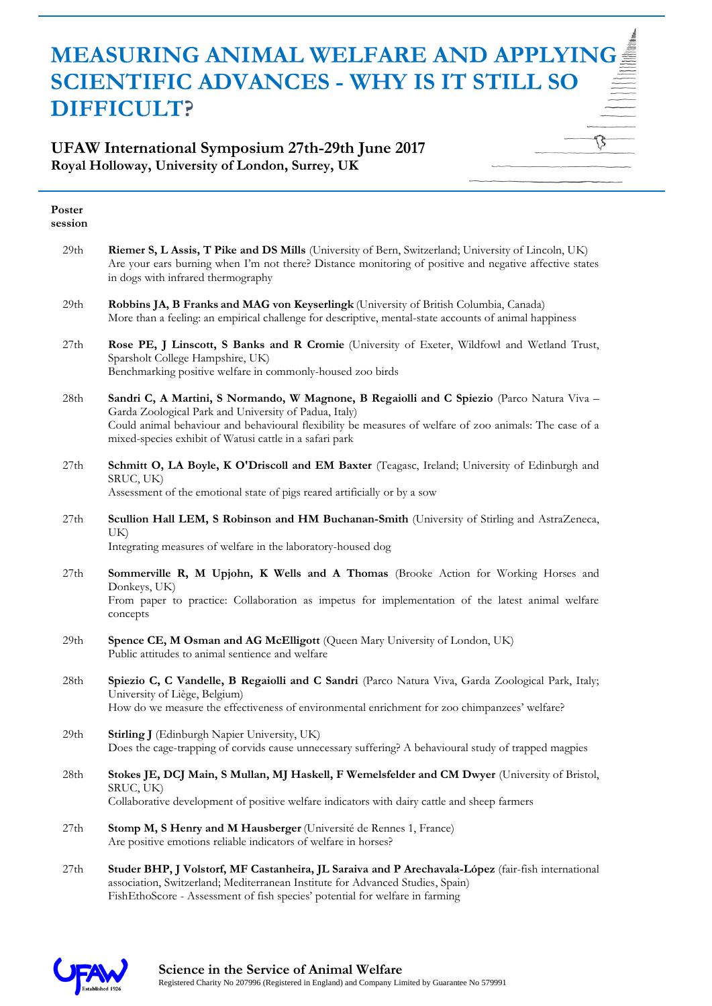#### **UFAW International Symposium 27th-29th June 2017 Royal Holloway, University of London, Surrey, UK**

| Poster<br>session |                                                                                                                                                                                                                                                                                                                           |
|-------------------|---------------------------------------------------------------------------------------------------------------------------------------------------------------------------------------------------------------------------------------------------------------------------------------------------------------------------|
| 29th              | Riemer S, L Assis, T Pike and DS Mills (University of Bern, Switzerland; University of Lincoln, UK)<br>Are your ears burning when I'm not there? Distance monitoring of positive and negative affective states<br>in dogs with infrared thermography                                                                      |
| 29th              | Robbins JA, B Franks and MAG von Keyserlingk (University of British Columbia, Canada)<br>More than a feeling: an empirical challenge for descriptive, mental-state accounts of animal happiness                                                                                                                           |
| 27th              | Rose PE, J Linscott, S Banks and R Cromie (University of Exeter, Wildfowl and Wetland Trust,<br>Sparsholt College Hampshire, UK)<br>Benchmarking positive welfare in commonly-housed zoo birds                                                                                                                            |
| 28th              | Sandri C, A Martini, S Normando, W Magnone, B Regaiolli and C Spiezio (Parco Natura Viva -<br>Garda Zoological Park and University of Padua, Italy)<br>Could animal behaviour and behavioural flexibility be measures of welfare of zoo animals: The case of a<br>mixed-species exhibit of Watusi cattle in a safari park |
| 27th              | Schmitt O, LA Boyle, K O'Driscoll and EM Baxter (Teagasc, Ireland; University of Edinburgh and<br>SRUC, UK)<br>Assessment of the emotional state of pigs reared artificially or by a sow                                                                                                                                  |
| 27th              | Scullion Hall LEM, S Robinson and HM Buchanan-Smith (University of Stirling and AstraZeneca,<br>UK)<br>Integrating measures of welfare in the laboratory-housed dog                                                                                                                                                       |
| 27th              | Sommerville R, M Upjohn, K Wells and A Thomas (Brooke Action for Working Horses and<br>Donkeys, UK)<br>From paper to practice: Collaboration as impetus for implementation of the latest animal welfare<br>concepts                                                                                                       |
| 29th              | Spence CE, M Osman and AG McElligott (Queen Mary University of London, UK)<br>Public attitudes to animal sentience and welfare                                                                                                                                                                                            |
| 28th              | Spiezio C, C Vandelle, B Regaiolli and C Sandri (Parco Natura Viva, Garda Zoological Park, Italy;<br>University of Liège, Belgium)<br>How do we measure the effectiveness of environmental enrichment for zoo chimpanzees' welfare?                                                                                       |
| 29th              | Stirling J (Edinburgh Napier University, UK)<br>Does the cage-trapping of corvids cause unnecessary suffering? A behavioural study of trapped magpies                                                                                                                                                                     |
| 28th              | Stokes JE, DCJ Main, S Mullan, MJ Haskell, F Wemelsfelder and CM Dwyer (University of Bristol,<br>SRUC, UK)<br>Collaborative development of positive welfare indicators with dairy cattle and sheep farmers                                                                                                               |
| 27th              | Stomp M, S Henry and M Hausberger (Université de Rennes 1, France)<br>Are positive emotions reliable indicators of welfare in horses?                                                                                                                                                                                     |

27th **Studer BHP, J Volstorf, MF Castanheira, JL Saraiva and P Arechavala-López** (fair-fish international association, Switzerland; Mediterranean Institute for Advanced Studies, Spain) FishEthoScore - Assessment of fish species' potential for welfare in farming

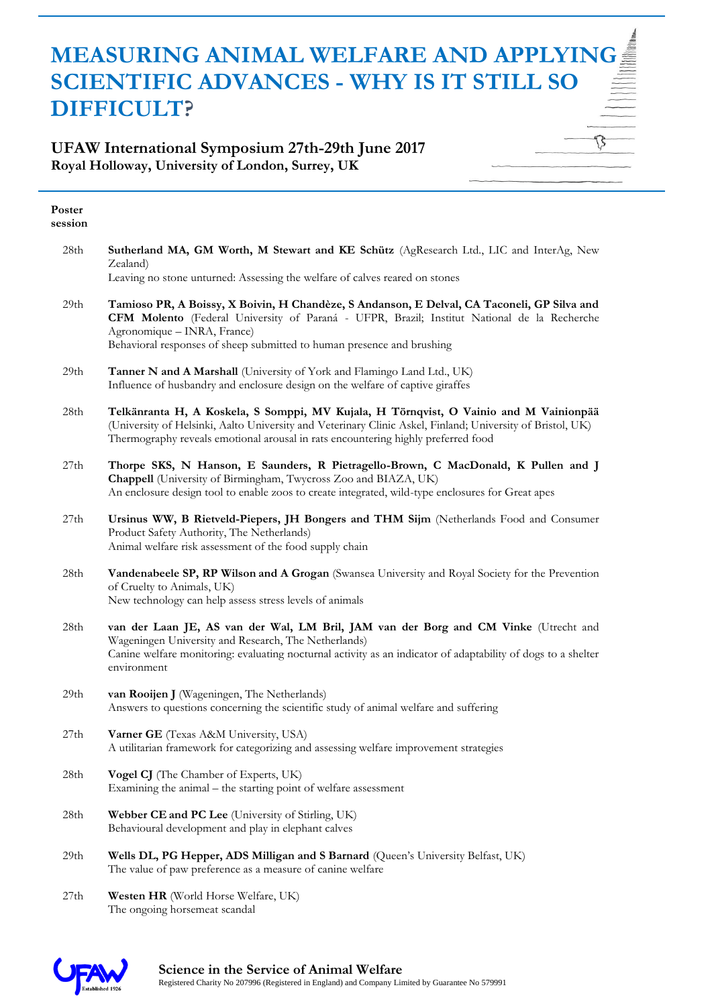#### **UFAW International Symposium 27th-29th June 2017 Royal Holloway, University of London, Surrey, UK**

| Poster<br>session |                                                                                                                                                                                                                                                                                                     |
|-------------------|-----------------------------------------------------------------------------------------------------------------------------------------------------------------------------------------------------------------------------------------------------------------------------------------------------|
| 28th              | Sutherland MA, GM Worth, M Stewart and KE Schütz (AgResearch Ltd., LIC and InterAg, New<br>Zealand)                                                                                                                                                                                                 |
|                   | Leaving no stone unturned: Assessing the welfare of calves reared on stones                                                                                                                                                                                                                         |
| 29th              | Tamioso PR, A Boissy, X Boivin, H Chandèze, S Andanson, E Delval, CA Taconeli, GP Silva and<br>CFM Molento (Federal University of Paraná - UFPR, Brazil; Institut National de la Recherche<br>Agronomique - INRA, France)<br>Behavioral responses of sheep submitted to human presence and brushing |
| 29th              | Tanner N and A Marshall (University of York and Flamingo Land Ltd., UK)<br>Influence of husbandry and enclosure design on the welfare of captive giraffes                                                                                                                                           |
| 28th              | Telkänranta H, A Koskela, S Somppi, MV Kujala, H Törnqvist, O Vainio and M Vainionpää<br>(University of Helsinki, Aalto University and Veterinary Clinic Askel, Finland; University of Bristol, UK)<br>Thermography reveals emotional arousal in rats encountering highly preferred food            |
| 27th              | Thorpe SKS, N Hanson, E Saunders, R Pietragello-Brown, C MacDonald, K Pullen and J<br>Chappell (University of Birmingham, Twycross Zoo and BIAZA, UK)<br>An enclosure design tool to enable zoos to create integrated, wild-type enclosures for Great apes                                          |
| 27th              | Ursinus WW, B Rietveld-Piepers, JH Bongers and THM Sijm (Netherlands Food and Consumer<br>Product Safety Authority, The Netherlands)<br>Animal welfare risk assessment of the food supply chain                                                                                                     |
| 28th              | Vandenabeele SP, RP Wilson and A Grogan (Swansea University and Royal Society for the Prevention<br>of Cruelty to Animals, UK)<br>New technology can help assess stress levels of animals                                                                                                           |
| 28th              | van der Laan JE, AS van der Wal, LM Bril, JAM van der Borg and CM Vinke (Utrecht and<br>Wageningen University and Research, The Netherlands)<br>Canine welfare monitoring: evaluating nocturnal activity as an indicator of adaptability of dogs to a shelter<br>environment                        |
| 29th              | van Rooijen J (Wageningen, The Netherlands)<br>Answers to questions concerning the scientific study of animal welfare and suffering                                                                                                                                                                 |
| 27 <sub>th</sub>  | Varner GE (Texas A&M University, USA)<br>A utilitarian framework for categorizing and assessing welfare improvement strategies                                                                                                                                                                      |
| 28th              | Vogel CJ (The Chamber of Experts, UK)<br>Examining the animal – the starting point of welfare assessment                                                                                                                                                                                            |
| 28th              | Webber CE and PC Lee (University of Stirling, UK)<br>Behavioural development and play in elephant calves                                                                                                                                                                                            |
| 29th              | Wells DL, PG Hepper, ADS Milligan and S Barnard (Queen's University Belfast, UK)<br>The value of paw preference as a measure of canine welfare                                                                                                                                                      |
| 27th              | Westen HR (World Horse Welfare, UK)<br>The ongoing horsemeat scandal                                                                                                                                                                                                                                |